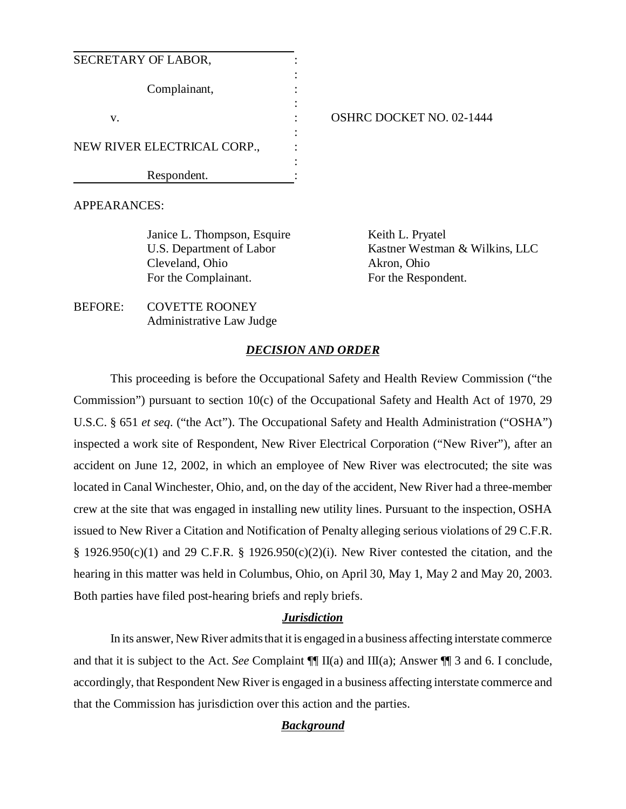| SECRETARY OF LABOR,         |  |
|-----------------------------|--|
| Complainant,                |  |
| V.                          |  |
| NEW RIVER ELECTRICAL CORP., |  |
| Respondent.                 |  |

## OSHRC DOCKET NO. 02-1444

APPEARANCES:

Janice L. Thompson, Esquire U.S. Department of Labor Cleveland, Ohio For the Complainant.

Keith L. Pryatel Kastner Westman & Wilkins, LLC Akron, Ohio For the Respondent.

BEFORE: COVETTE ROONEY Administrative Law Judge

#### *DECISION AND ORDER*

This proceeding is before the Occupational Safety and Health Review Commission ("the Commission") pursuant to section 10(c) of the Occupational Safety and Health Act of 1970, 29 U.S.C. § 651 *et seq*. ("the Act"). The Occupational Safety and Health Administration ("OSHA") inspected a work site of Respondent, New River Electrical Corporation ("New River"), after an accident on June 12, 2002, in which an employee of New River was electrocuted; the site was located in Canal Winchester, Ohio, and, on the day of the accident, New River had a three-member crew at the site that was engaged in installing new utility lines. Pursuant to the inspection, OSHA issued to New River a Citation and Notification of Penalty alleging serious violations of 29 C.F.R. § 1926.950(c)(1) and 29 C.F.R. § 1926.950(c)(2)(i). New River contested the citation, and the hearing in this matter was held in Columbus, Ohio, on April 30, May 1, May 2 and May 20, 2003. Both parties have filed post-hearing briefs and reply briefs.

## *Jurisdiction*

In its answer, New River admits that it is engaged in a business affecting interstate commerce and that it is subject to the Act. *See* Complaint ¶¶ II(a) and III(a); Answer ¶¶ 3 and 6. I conclude, accordingly, that Respondent New River is engaged in a business affecting interstate commerce and that the Commission has jurisdiction over this action and the parties.

## *Background*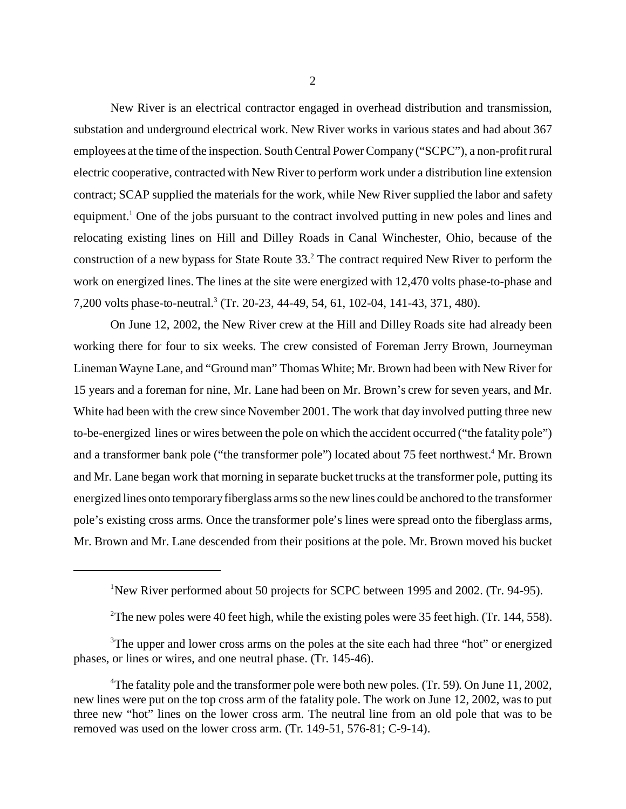New River is an electrical contractor engaged in overhead distribution and transmission, substation and underground electrical work. New River works in various states and had about 367 employees at the time of the inspection. South Central Power Company ("SCPC"), a non-profit rural electric cooperative, contracted with New River to perform work under a distribution line extension contract; SCAP supplied the materials for the work, while New River supplied the labor and safety equipment.<sup>1</sup> One of the jobs pursuant to the contract involved putting in new poles and lines and relocating existing lines on Hill and Dilley Roads in Canal Winchester, Ohio, because of the construction of a new bypass for State Route 33.<sup>2</sup> The contract required New River to perform the work on energized lines. The lines at the site were energized with 12,470 volts phase-to-phase and 7,200 volts phase-to-neutral.<sup>3</sup> (Tr. 20-23, 44-49, 54, 61, 102-04, 141-43, 371, 480).

On June 12, 2002, the New River crew at the Hill and Dilley Roads site had already been working there for four to six weeks. The crew consisted of Foreman Jerry Brown, Journeyman Lineman Wayne Lane, and "Ground man" Thomas White; Mr. Brown had been with New River for 15 years and a foreman for nine, Mr. Lane had been on Mr. Brown's crew for seven years, and Mr. White had been with the crew since November 2001. The work that day involved putting three new to-be-energized lines or wires between the pole on which the accident occurred ("the fatality pole") and a transformer bank pole ("the transformer pole") located about 75 feet northwest.<sup>4</sup> Mr. Brown and Mr. Lane began work that morning in separate bucket trucks at the transformer pole, putting its energized lines onto temporary fiberglass arms so the new lines could be anchored to the transformer pole's existing cross arms. Once the transformer pole's lines were spread onto the fiberglass arms, Mr. Brown and Mr. Lane descended from their positions at the pole. Mr. Brown moved his bucket

<sup>&</sup>lt;sup>1</sup>New River performed about 50 projects for SCPC between 1995 and 2002. (Tr. 94-95).

<sup>&</sup>lt;sup>2</sup>The new poles were 40 feet high, while the existing poles were 35 feet high. (Tr. 144, 558).

<sup>&</sup>lt;sup>3</sup>The upper and lower cross arms on the poles at the site each had three "hot" or energized phases, or lines or wires, and one neutral phase. (Tr. 145-46).

<sup>&</sup>lt;sup>4</sup>The fatality pole and the transformer pole were both new poles. (Tr. 59). On June 11, 2002, new lines were put on the top cross arm of the fatality pole. The work on June 12, 2002, was to put three new "hot" lines on the lower cross arm. The neutral line from an old pole that was to be removed was used on the lower cross arm. (Tr. 149-51, 576-81; C-9-14).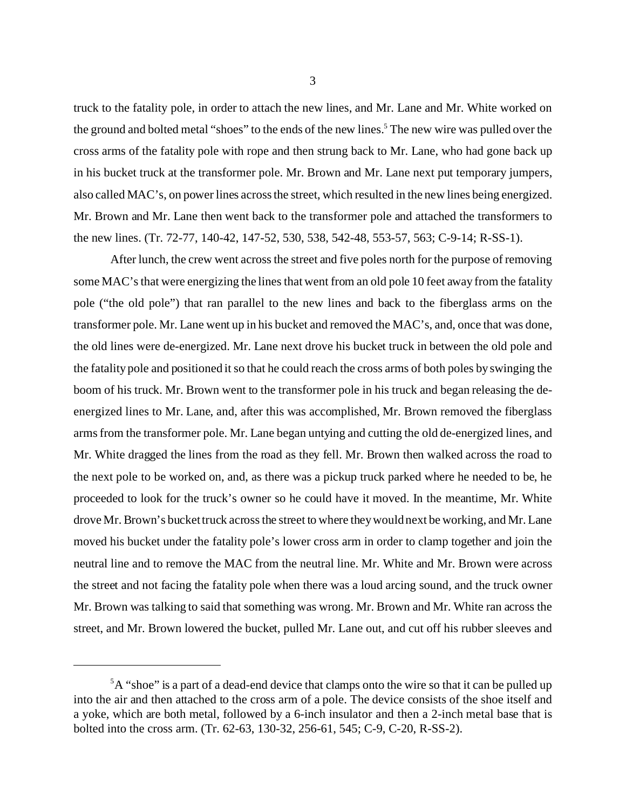truck to the fatality pole, in order to attach the new lines, and Mr. Lane and Mr. White worked on the ground and bolted metal "shoes" to the ends of the new lines.<sup>5</sup> The new wire was pulled over the cross arms of the fatality pole with rope and then strung back to Mr. Lane, who had gone back up in his bucket truck at the transformer pole. Mr. Brown and Mr. Lane next put temporary jumpers, also called MAC's, on power lines across the street, which resulted in the new lines being energized. Mr. Brown and Mr. Lane then went back to the transformer pole and attached the transformers to the new lines. (Tr. 72-77, 140-42, 147-52, 530, 538, 542-48, 553-57, 563; C-9-14; R-SS-1).

After lunch, the crew went across the street and five poles north for the purpose of removing some MAC's that were energizing the lines that went from an old pole 10 feet away from the fatality pole ("the old pole") that ran parallel to the new lines and back to the fiberglass arms on the transformer pole. Mr. Lane went up in his bucket and removed the MAC's, and, once that was done, the old lines were de-energized. Mr. Lane next drove his bucket truck in between the old pole and the fatality pole and positioned it so that he could reach the cross arms of both poles by swinging the boom of his truck. Mr. Brown went to the transformer pole in his truck and began releasing the deenergized lines to Mr. Lane, and, after this was accomplished, Mr. Brown removed the fiberglass arms from the transformer pole. Mr. Lane began untying and cutting the old de-energized lines, and Mr. White dragged the lines from the road as they fell. Mr. Brown then walked across the road to the next pole to be worked on, and, as there was a pickup truck parked where he needed to be, he proceeded to look for the truck's owner so he could have it moved. In the meantime, Mr. White drove Mr. Brown's bucket truck across the street to where they would next be working, and Mr. Lane moved his bucket under the fatality pole's lower cross arm in order to clamp together and join the neutral line and to remove the MAC from the neutral line. Mr. White and Mr. Brown were across the street and not facing the fatality pole when there was a loud arcing sound, and the truck owner Mr. Brown was talking to said that something was wrong. Mr. Brown and Mr. White ran across the street, and Mr. Brown lowered the bucket, pulled Mr. Lane out, and cut off his rubber sleeves and

 ${}^5A$  "shoe" is a part of a dead-end device that clamps onto the wire so that it can be pulled up into the air and then attached to the cross arm of a pole. The device consists of the shoe itself and a yoke, which are both metal, followed by a 6-inch insulator and then a 2-inch metal base that is bolted into the cross arm. (Tr. 62-63, 130-32, 256-61, 545; C-9, C-20, R-SS-2).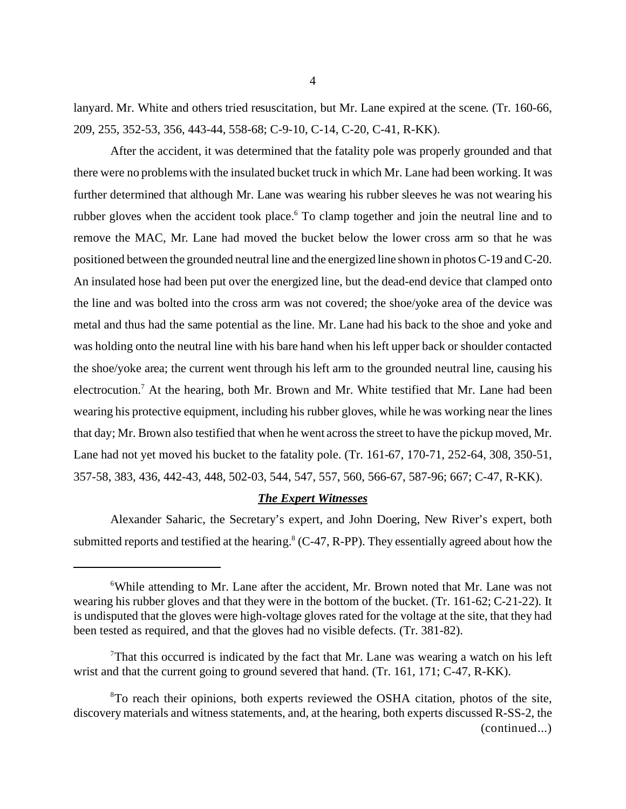lanyard. Mr. White and others tried resuscitation, but Mr. Lane expired at the scene. (Tr. 160-66, 209, 255, 352-53, 356, 443-44, 558-68; C-9-10, C-14, C-20, C-41, R-KK).

After the accident, it was determined that the fatality pole was properly grounded and that there were no problems with the insulated bucket truck in which Mr. Lane had been working. It was further determined that although Mr. Lane was wearing his rubber sleeves he was not wearing his rubber gloves when the accident took place. To clamp together and join the neutral line and to remove the MAC, Mr. Lane had moved the bucket below the lower cross arm so that he was positioned between the grounded neutral line and the energized line shown in photos C-19 and C-20. An insulated hose had been put over the energized line, but the dead-end device that clamped onto the line and was bolted into the cross arm was not covered; the shoe/yoke area of the device was metal and thus had the same potential as the line. Mr. Lane had his back to the shoe and yoke and was holding onto the neutral line with his bare hand when his left upper back or shoulder contacted the shoe/yoke area; the current went through his left arm to the grounded neutral line, causing his electrocution.<sup>7</sup> At the hearing, both Mr. Brown and Mr. White testified that Mr. Lane had been wearing his protective equipment, including his rubber gloves, while he was working near the lines that day; Mr. Brown also testified that when he went across the street to have the pickup moved, Mr. Lane had not yet moved his bucket to the fatality pole. (Tr. 161-67, 170-71, 252-64, 308, 350-51, 357-58, 383, 436, 442-43, 448, 502-03, 544, 547, 557, 560, 566-67, 587-96; 667; C-47, R-KK).

#### *The Expert Witnesses*

Alexander Saharic, the Secretary's expert, and John Doering, New River's expert, both submitted reports and testified at the hearing. $8$  (C-47, R-PP). They essentially agreed about how the

<sup>&</sup>lt;sup>6</sup>While attending to Mr. Lane after the accident, Mr. Brown noted that Mr. Lane was not wearing his rubber gloves and that they were in the bottom of the bucket. (Tr. 161-62; C-21-22). It is undisputed that the gloves were high-voltage gloves rated for the voltage at the site, that they had been tested as required, and that the gloves had no visible defects. (Tr. 381-82).

That this occurred is indicated by the fact that Mr. Lane was wearing a watch on his left wrist and that the current going to ground severed that hand. (Tr. 161, 171; C-47, R-KK).

<sup>&</sup>lt;sup>8</sup>To reach their opinions, both experts reviewed the OSHA citation, photos of the site, discovery materials and witness statements, and, at the hearing, both experts discussed R-SS-2, the (continued...)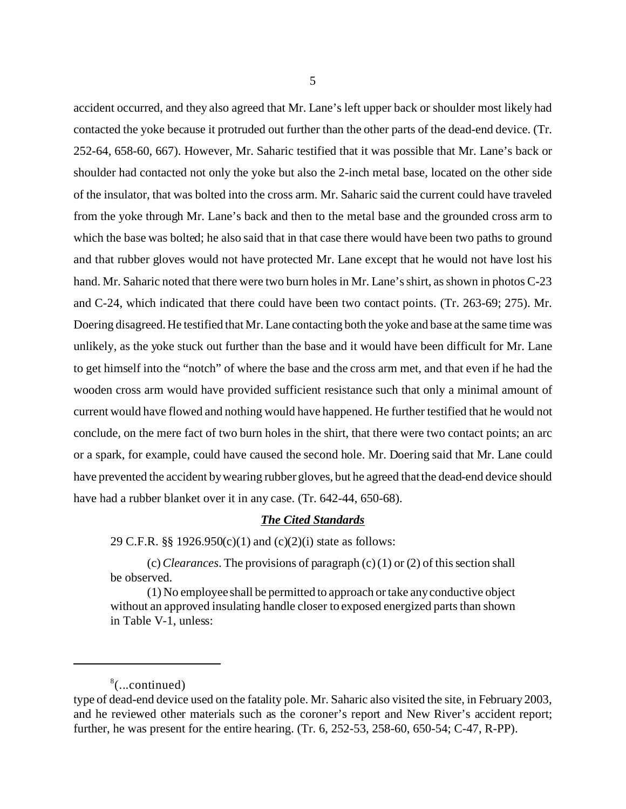accident occurred, and they also agreed that Mr. Lane's left upper back or shoulder most likely had contacted the yoke because it protruded out further than the other parts of the dead-end device. (Tr. 252-64, 658-60, 667). However, Mr. Saharic testified that it was possible that Mr. Lane's back or shoulder had contacted not only the yoke but also the 2-inch metal base, located on the other side of the insulator, that was bolted into the cross arm. Mr. Saharic said the current could have traveled from the yoke through Mr. Lane's back and then to the metal base and the grounded cross arm to which the base was bolted; he also said that in that case there would have been two paths to ground and that rubber gloves would not have protected Mr. Lane except that he would not have lost his hand. Mr. Saharic noted that there were two burn holes in Mr. Lane's shirt, as shown in photos C-23 and C-24, which indicated that there could have been two contact points. (Tr. 263-69; 275). Mr. Doering disagreed. He testified that Mr. Lane contacting both the yoke and base at the same time was unlikely, as the yoke stuck out further than the base and it would have been difficult for Mr. Lane to get himself into the "notch" of where the base and the cross arm met, and that even if he had the wooden cross arm would have provided sufficient resistance such that only a minimal amount of current would have flowed and nothing would have happened. He further testified that he would not conclude, on the mere fact of two burn holes in the shirt, that there were two contact points; an arc or a spark, for example, could have caused the second hole. Mr. Doering said that Mr. Lane could have prevented the accident by wearing rubber gloves, but he agreed that the dead-end device should have had a rubber blanket over it in any case. (Tr. 642-44, 650-68).

#### *The Cited Standards*

29 C.F.R. §§ 1926.950(c)(1) and (c)(2)(i) state as follows:

(c) *Clearances*. The provisions of paragraph (c) (1) or (2) of this section shall be observed.

(1) No employee shall be permitted to approach or take any conductive object without an approved insulating handle closer to exposed energized parts than shown in Table V-1, unless:

<sup>8</sup> (...continued)

type of dead-end device used on the fatality pole. Mr. Saharic also visited the site, in February 2003, and he reviewed other materials such as the coroner's report and New River's accident report; further, he was present for the entire hearing. (Tr. 6, 252-53, 258-60, 650-54; C-47, R-PP).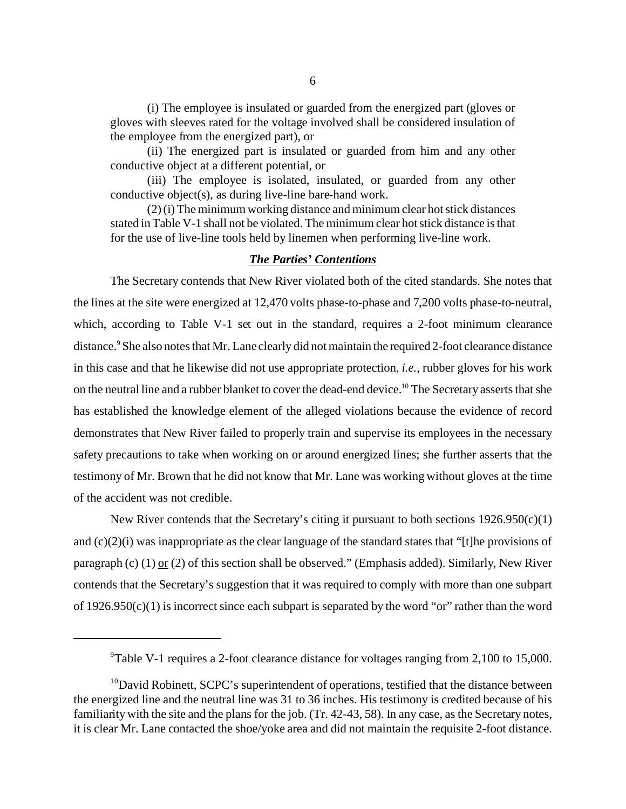(i) The employee is insulated or guarded from the energized part (gloves or gloves with sleeves rated for the voltage involved shall be considered insulation of the employee from the energized part), or

(ii) The energized part is insulated or guarded from him and any other conductive object at a different potential, or

(iii) The employee is isolated, insulated, or guarded from any other conductive object(s), as during live-line bare-hand work.

(2) (i) The minimum working distance and minimum clear hot stick distances stated in Table V-1 shall not be violated. The minimum clear hot stick distance is that for the use of live-line tools held by linemen when performing live-line work.

#### *The Parties' Contentions*

The Secretary contends that New River violated both of the cited standards. She notes that the lines at the site were energized at 12,470 volts phase-to-phase and 7,200 volts phase-to-neutral, which, according to Table V-1 set out in the standard, requires a 2-foot minimum clearance distance.<sup>9</sup> She also notes that Mr. Lane clearly did not maintain the required 2-foot clearance distance in this case and that he likewise did not use appropriate protection, *i.e.*, rubber gloves for his work on the neutral line and a rubber blanket to cover the dead-end device.10 The Secretary asserts that she has established the knowledge element of the alleged violations because the evidence of record demonstrates that New River failed to properly train and supervise its employees in the necessary safety precautions to take when working on or around energized lines; she further asserts that the testimony of Mr. Brown that he did not know that Mr. Lane was working without gloves at the time of the accident was not credible.

New River contends that the Secretary's citing it pursuant to both sections  $1926.950(c)(1)$ and (c)(2)(i) was inappropriate as the clear language of the standard states that "[t]he provisions of paragraph (c) (1) or (2) of this section shall be observed." (Emphasis added). Similarly, New River contends that the Secretary's suggestion that it was required to comply with more than one subpart of  $1926.950(c)(1)$  is incorrect since each subpart is separated by the word "or" rather than the word

<sup>&</sup>lt;sup>9</sup>Table V-1 requires a 2-foot clearance distance for voltages ranging from 2,100 to 15,000.

 $10$ David Robinett, SCPC's superintendent of operations, testified that the distance between the energized line and the neutral line was 31 to 36 inches. His testimony is credited because of his familiarity with the site and the plans for the job. (Tr. 42-43, 58). In any case, as the Secretary notes, it is clear Mr. Lane contacted the shoe/yoke area and did not maintain the requisite 2-foot distance.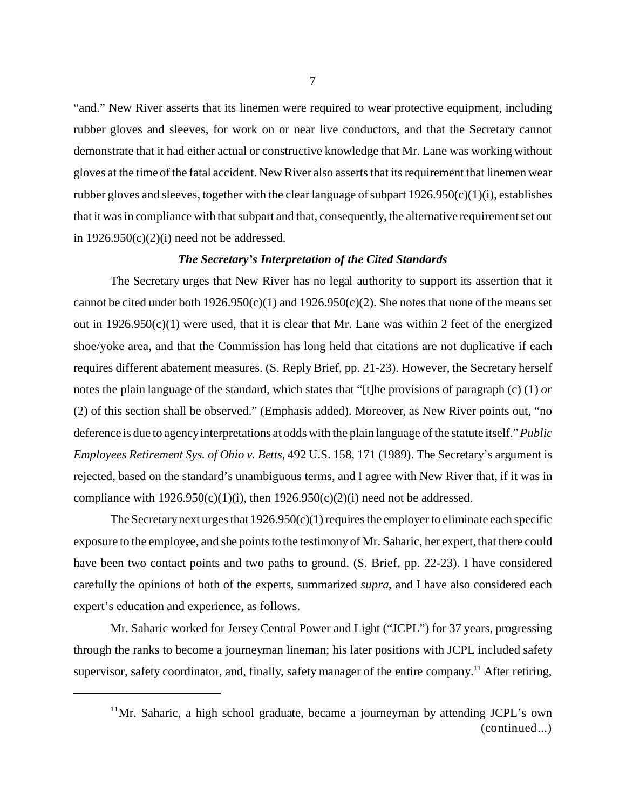"and." New River asserts that its linemen were required to wear protective equipment, including rubber gloves and sleeves, for work on or near live conductors, and that the Secretary cannot demonstrate that it had either actual or constructive knowledge that Mr. Lane was working without gloves at the time of the fatal accident. New River also asserts that its requirement that linemen wear rubber gloves and sleeves, together with the clear language of subpart  $1926.950(c)(1)(i)$ , establishes that it was in compliance with that subpart and that, consequently, the alternative requirement set out in  $1926.950(c)(2)(i)$  need not be addressed.

#### *The Secretary's Interpretation of the Cited Standards*

The Secretary urges that New River has no legal authority to support its assertion that it cannot be cited under both  $1926.950(c)(1)$  and  $1926.950(c)(2)$ . She notes that none of the means set out in  $1926.950(c)(1)$  were used, that it is clear that Mr. Lane was within 2 feet of the energized shoe/yoke area, and that the Commission has long held that citations are not duplicative if each requires different abatement measures. (S. Reply Brief, pp. 21-23). However, the Secretary herself notes the plain language of the standard, which states that "[t]he provisions of paragraph (c) (1) *or*  (2) of this section shall be observed." (Emphasis added). Moreover, as New River points out, "no deference is due to agency interpretations at odds with the plain language of the statute itself." *Public Employees Retirement Sys. of Ohio v. Betts*, 492 U.S. 158, 171 (1989). The Secretary's argument is rejected, based on the standard's unambiguous terms, and I agree with New River that, if it was in compliance with  $1926.950(c)(1)(i)$ , then  $1926.950(c)(2)(i)$  need not be addressed.

The Secretary next urges that  $1926.950(c)(1)$  requires the employer to eliminate each specific exposure to the employee, and she points to the testimony of Mr. Saharic, her expert, that there could have been two contact points and two paths to ground. (S. Brief, pp. 22-23). I have considered carefully the opinions of both of the experts, summarized *supra*, and I have also considered each expert's education and experience, as follows.

Mr. Saharic worked for Jersey Central Power and Light ("JCPL") for 37 years, progressing through the ranks to become a journeyman lineman; his later positions with JCPL included safety supervisor, safety coordinator, and, finally, safety manager of the entire company.<sup>11</sup> After retiring,

<sup>&</sup>lt;sup>11</sup>Mr. Saharic, a high school graduate, became a journeyman by attending JCPL's own (continued...)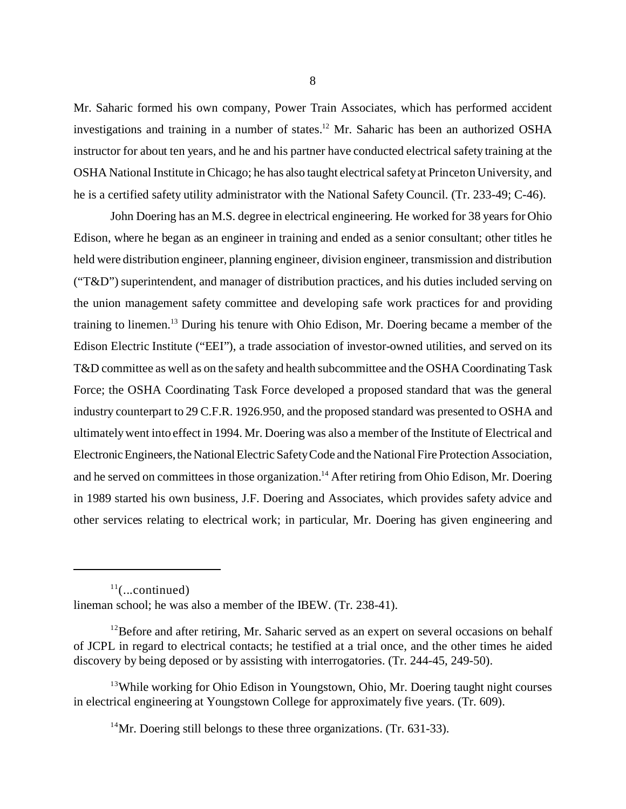Mr. Saharic formed his own company, Power Train Associates, which has performed accident investigations and training in a number of states.<sup>12</sup> Mr. Saharic has been an authorized OSHA instructor for about ten years, and he and his partner have conducted electrical safety training at the OSHA National Institute in Chicago; he has also taught electrical safety at Princeton University, and he is a certified safety utility administrator with the National Safety Council. (Tr. 233-49; C-46).

John Doering has an M.S. degree in electrical engineering. He worked for 38 years for Ohio Edison, where he began as an engineer in training and ended as a senior consultant; other titles he held were distribution engineer, planning engineer, division engineer, transmission and distribution ("T&D") superintendent, and manager of distribution practices, and his duties included serving on the union management safety committee and developing safe work practices for and providing training to linemen.13 During his tenure with Ohio Edison, Mr. Doering became a member of the Edison Electric Institute ("EEI"), a trade association of investor-owned utilities, and served on its T&D committee as well as on the safety and health subcommittee and the OSHA Coordinating Task Force; the OSHA Coordinating Task Force developed a proposed standard that was the general industry counterpart to 29 C.F.R. 1926.950, and the proposed standard was presented to OSHA and ultimately went into effect in 1994. Mr. Doering was also a member of the Institute of Electrical and Electronic Engineers, the National Electric Safety Code and the National Fire Protection Association, and he served on committees in those organization.<sup>14</sup> After retiring from Ohio Edison, Mr. Doering in 1989 started his own business, J.F. Doering and Associates, which provides safety advice and other services relating to electrical work; in particular, Mr. Doering has given engineering and

 $11$ (...continued) lineman school; he was also a member of the IBEW. (Tr. 238-41).

 $12$ Before and after retiring, Mr. Saharic served as an expert on several occasions on behalf of JCPL in regard to electrical contacts; he testified at a trial once, and the other times he aided discovery by being deposed or by assisting with interrogatories. (Tr. 244-45, 249-50).

<sup>&</sup>lt;sup>13</sup>While working for Ohio Edison in Youngstown, Ohio, Mr. Doering taught night courses in electrical engineering at Youngstown College for approximately five years. (Tr. 609).

 $14$ Mr. Doering still belongs to these three organizations. (Tr. 631-33).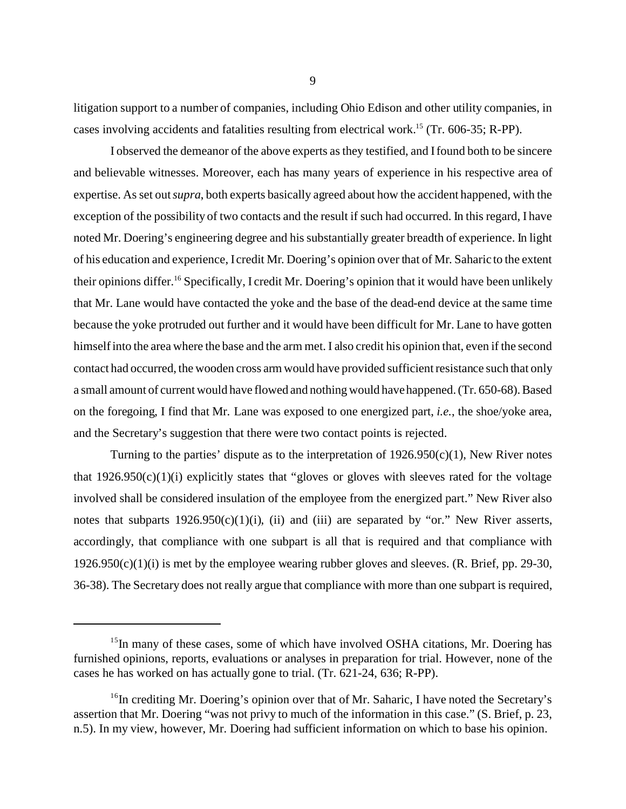litigation support to a number of companies, including Ohio Edison and other utility companies, in cases involving accidents and fatalities resulting from electrical work.15 (Tr. 606-35; R-PP).

I observed the demeanor of the above experts as they testified, and I found both to be sincere and believable witnesses. Moreover, each has many years of experience in his respective area of expertise. As set out *supra*, both experts basically agreed about how the accident happened, with the exception of the possibility of two contacts and the result if such had occurred. In this regard, I have noted Mr. Doering's engineering degree and his substantially greater breadth of experience. In light of his education and experience, I credit Mr. Doering's opinion over that of Mr. Saharic to the extent their opinions differ.16 Specifically, I credit Mr. Doering's opinion that it would have been unlikely that Mr. Lane would have contacted the yoke and the base of the dead-end device at the same time because the yoke protruded out further and it would have been difficult for Mr. Lane to have gotten himself into the area where the base and the arm met. I also credit his opinion that, even if the second contact had occurred, the wooden cross arm would have provided sufficient resistance such that only a small amount of current would have flowed and nothing would have happened. (Tr. 650-68). Based on the foregoing, I find that Mr. Lane was exposed to one energized part, *i.e.*, the shoe/yoke area, and the Secretary's suggestion that there were two contact points is rejected.

Turning to the parties' dispute as to the interpretation of  $1926.950(c)(1)$ , New River notes that  $1926.950(c)(1)(i)$  explicitly states that "gloves or gloves with sleeves rated for the voltage involved shall be considered insulation of the employee from the energized part." New River also notes that subparts  $1926.950(c)(1)(i)$ , (ii) and (iii) are separated by "or." New River asserts, accordingly, that compliance with one subpart is all that is required and that compliance with  $1926.950(c)(1)(i)$  is met by the employee wearing rubber gloves and sleeves. (R. Brief, pp. 29-30, 36-38). The Secretary does not really argue that compliance with more than one subpart is required,

<sup>&</sup>lt;sup>15</sup>In many of these cases, some of which have involved OSHA citations, Mr. Doering has furnished opinions, reports, evaluations or analyses in preparation for trial. However, none of the cases he has worked on has actually gone to trial. (Tr. 621-24, 636; R-PP).

 $16$ In crediting Mr. Doering's opinion over that of Mr. Saharic, I have noted the Secretary's assertion that Mr. Doering "was not privy to much of the information in this case." (S. Brief, p. 23, n.5). In my view, however, Mr. Doering had sufficient information on which to base his opinion.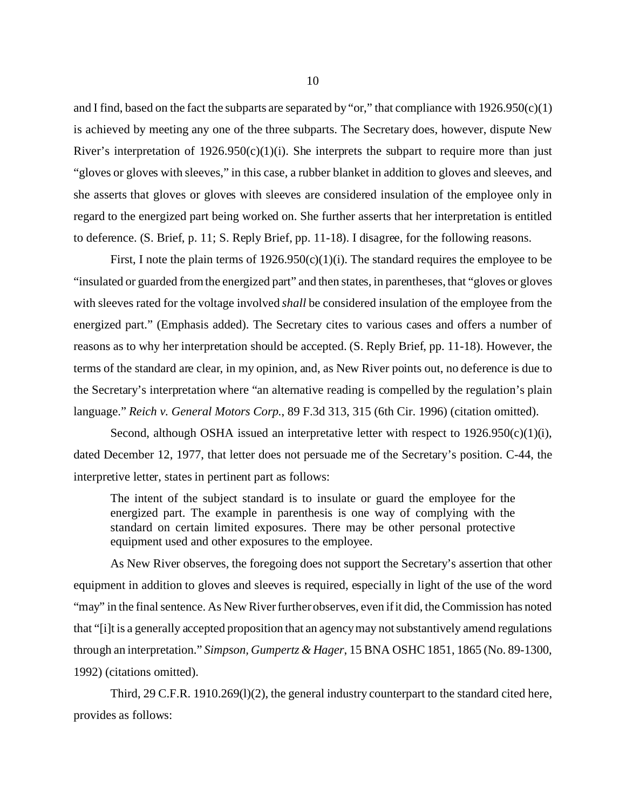and I find, based on the fact the subparts are separated by "or," that compliance with  $1926.950(c)(1)$ is achieved by meeting any one of the three subparts. The Secretary does, however, dispute New River's interpretation of  $1926.950(c)(1)(i)$ . She interprets the subpart to require more than just "gloves or gloves with sleeves," in this case, a rubber blanket in addition to gloves and sleeves, and she asserts that gloves or gloves with sleeves are considered insulation of the employee only in regard to the energized part being worked on. She further asserts that her interpretation is entitled to deference. (S. Brief, p. 11; S. Reply Brief, pp. 11-18). I disagree, for the following reasons.

First, I note the plain terms of  $1926.950(c)(1)(i)$ . The standard requires the employee to be "insulated or guarded from the energized part" and then states, in parentheses, that "gloves or gloves with sleeves rated for the voltage involved *shall* be considered insulation of the employee from the energized part." (Emphasis added). The Secretary cites to various cases and offers a number of reasons as to why her interpretation should be accepted. (S. Reply Brief, pp. 11-18). However, the terms of the standard are clear, in my opinion, and, as New River points out, no deference is due to the Secretary's interpretation where "an alternative reading is compelled by the regulation's plain language." *Reich v. General Motors Corp.*, 89 F.3d 313, 315 (6th Cir. 1996) (citation omitted).

Second, although OSHA issued an interpretative letter with respect to  $1926.950(c)(1)(i)$ , dated December 12, 1977, that letter does not persuade me of the Secretary's position. C-44, the interpretive letter, states in pertinent part as follows:

The intent of the subject standard is to insulate or guard the employee for the energized part. The example in parenthesis is one way of complying with the standard on certain limited exposures. There may be other personal protective equipment used and other exposures to the employee.

As New River observes, the foregoing does not support the Secretary's assertion that other equipment in addition to gloves and sleeves is required, especially in light of the use of the word "may" in the final sentence. As New River further observes, even if it did, the Commission has noted that "[i]t is a generally accepted proposition that an agency may not substantively amend regulations through an interpretation." *Simpson, Gumpertz & Hager*, 15 BNA OSHC 1851, 1865 (No. 89-1300, 1992) (citations omitted).

Third, 29 C.F.R. 1910.269(l)(2), the general industry counterpart to the standard cited here, provides as follows: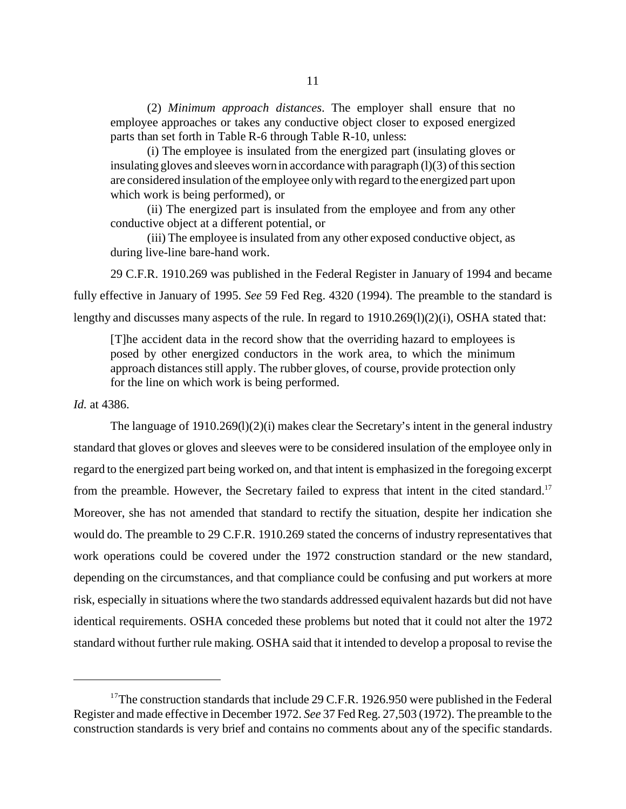(2) *Minimum approach distances*. The employer shall ensure that no employee approaches or takes any conductive object closer to exposed energized parts than set forth in Table R-6 through Table R-10, unless:

(i) The employee is insulated from the energized part (insulating gloves or insulating gloves and sleeves worn in accordance with paragraph (l)(3) of this section are considered insulation of the employee only with regard to the energized part upon which work is being performed), or

(ii) The energized part is insulated from the employee and from any other conductive object at a different potential, or

(iii) The employee is insulated from any other exposed conductive object, as during live-line bare-hand work.

29 C.F.R. 1910.269 was published in the Federal Register in January of 1994 and became fully effective in January of 1995. *See* 59 Fed Reg. 4320 (1994). The preamble to the standard is lengthy and discusses many aspects of the rule. In regard to  $1910.269(1)(2)(i)$ , OSHA stated that:

[T]he accident data in the record show that the overriding hazard to employees is posed by other energized conductors in the work area, to which the minimum approach distances still apply. The rubber gloves, of course, provide protection only for the line on which work is being performed.

*Id.* at 4386.

The language of  $1910.269(1)(2)(i)$  makes clear the Secretary's intent in the general industry standard that gloves or gloves and sleeves were to be considered insulation of the employee only in regard to the energized part being worked on, and that intent is emphasized in the foregoing excerpt from the preamble. However, the Secretary failed to express that intent in the cited standard.<sup>17</sup> Moreover, she has not amended that standard to rectify the situation, despite her indication she would do. The preamble to 29 C.F.R. 1910.269 stated the concerns of industry representatives that work operations could be covered under the 1972 construction standard or the new standard, depending on the circumstances, and that compliance could be confusing and put workers at more risk, especially in situations where the two standards addressed equivalent hazards but did not have identical requirements. OSHA conceded these problems but noted that it could not alter the 1972 standard without further rule making. OSHA said that it intended to develop a proposal to revise the

<sup>&</sup>lt;sup>17</sup>The construction standards that include 29 C.F.R. 1926.950 were published in the Federal Register and made effective in December 1972. *See* 37 Fed Reg. 27,503 (1972). The preamble to the construction standards is very brief and contains no comments about any of the specific standards.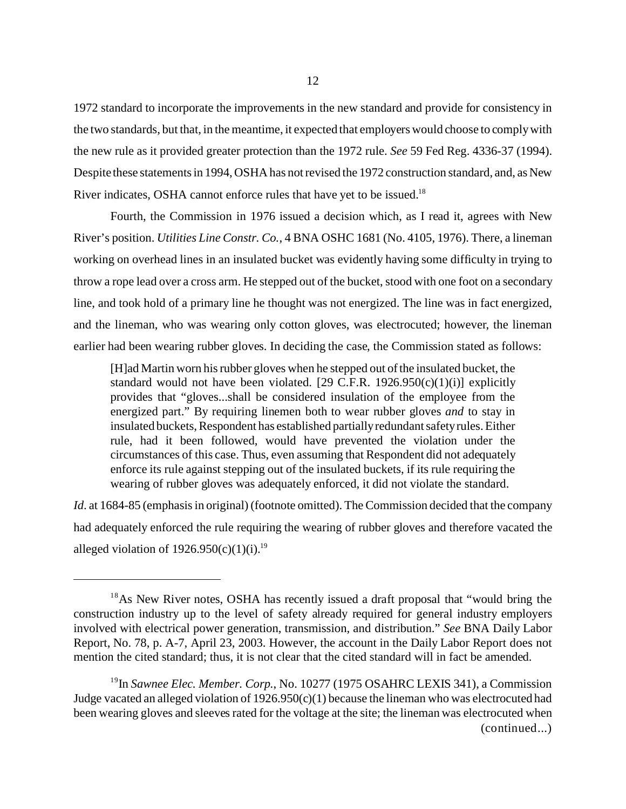1972 standard to incorporate the improvements in the new standard and provide for consistency in the two standards, but that, in the meantime, it expected that employers would choose to comply with the new rule as it provided greater protection than the 1972 rule. *See* 59 Fed Reg. 4336-37 (1994). Despite these statements in 1994, OSHA has not revised the 1972 construction standard, and, as New River indicates, OSHA cannot enforce rules that have yet to be issued.<sup>18</sup>

Fourth, the Commission in 1976 issued a decision which, as I read it, agrees with New River's position. *Utilities Line Constr. Co.*, 4 BNA OSHC 1681 (No. 4105, 1976). There, a lineman working on overhead lines in an insulated bucket was evidently having some difficulty in trying to throw a rope lead over a cross arm. He stepped out of the bucket, stood with one foot on a secondary line, and took hold of a primary line he thought was not energized. The line was in fact energized, and the lineman, who was wearing only cotton gloves, was electrocuted; however, the lineman earlier had been wearing rubber gloves. In deciding the case, the Commission stated as follows:

[H]ad Martin worn his rubber gloves when he stepped out of the insulated bucket, the standard would not have been violated. [29 C.F.R.  $1926.950(c)(1)(i)$ ] explicitly provides that "gloves...shall be considered insulation of the employee from the energized part." By requiring linemen both to wear rubber gloves *and* to stay in insulated buckets, Respondent has established partially redundant safety rules. Either rule, had it been followed, would have prevented the violation under the circumstances of this case. Thus, even assuming that Respondent did not adequately enforce its rule against stepping out of the insulated buckets, if its rule requiring the wearing of rubber gloves was adequately enforced, it did not violate the standard.

*Id.* at 1684-85 (emphasis in original) (footnote omitted). The Commission decided that the company had adequately enforced the rule requiring the wearing of rubber gloves and therefore vacated the alleged violation of  $1926.950(c)(1)(i).<sup>19</sup>$ 

<sup>&</sup>lt;sup>18</sup>As New River notes, OSHA has recently issued a draft proposal that "would bring the construction industry up to the level of safety already required for general industry employers involved with electrical power generation, transmission, and distribution." *See* BNA Daily Labor Report, No. 78, p. A-7, April 23, 2003. However, the account in the Daily Labor Report does not mention the cited standard; thus, it is not clear that the cited standard will in fact be amended.

<sup>&</sup>lt;sup>19</sup>In *Sawnee Elec. Member. Corp.*, No. 10277 (1975 OSAHRC LEXIS 341), a Commission Judge vacated an alleged violation of 1926.950(c)(1) because the lineman who was electrocuted had been wearing gloves and sleeves rated for the voltage at the site; the lineman was electrocuted when (continued...)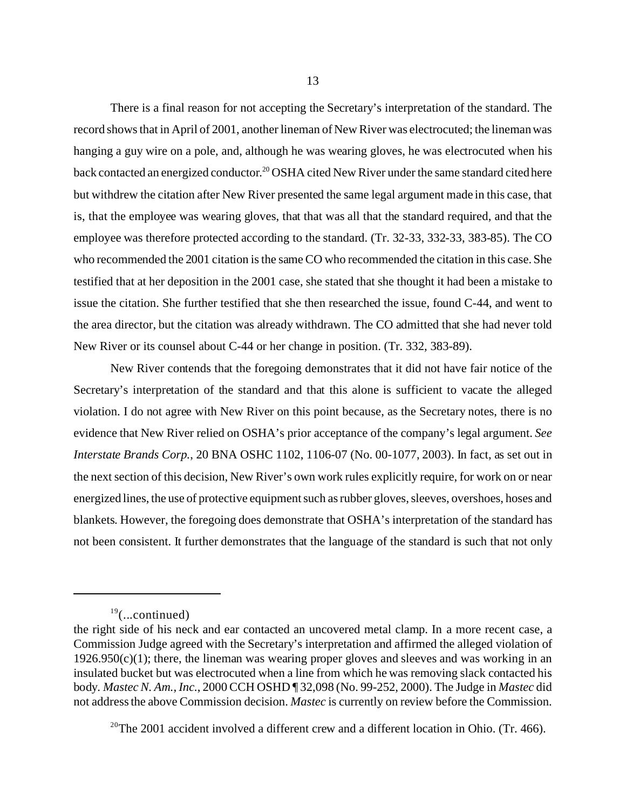There is a final reason for not accepting the Secretary's interpretation of the standard. The record shows that in April of 2001, another lineman of New River was electrocuted; the lineman was hanging a guy wire on a pole, and, although he was wearing gloves, he was electrocuted when his back contacted an energized conductor.<sup>20</sup> OSHA cited New River under the same standard cited here but withdrew the citation after New River presented the same legal argument made in this case, that is, that the employee was wearing gloves, that that was all that the standard required, and that the employee was therefore protected according to the standard. (Tr. 32-33, 332-33, 383-85). The CO who recommended the 2001 citation is the same CO who recommended the citation in this case. She testified that at her deposition in the 2001 case, she stated that she thought it had been a mistake to issue the citation. She further testified that she then researched the issue, found C-44, and went to the area director, but the citation was already withdrawn. The CO admitted that she had never told New River or its counsel about C-44 or her change in position. (Tr. 332, 383-89).

New River contends that the foregoing demonstrates that it did not have fair notice of the Secretary's interpretation of the standard and that this alone is sufficient to vacate the alleged violation. I do not agree with New River on this point because, as the Secretary notes, there is no evidence that New River relied on OSHA's prior acceptance of the company's legal argument. *See Interstate Brands Corp.*, 20 BNA OSHC 1102, 1106-07 (No. 00-1077, 2003). In fact, as set out in the next section of this decision, New River's own work rules explicitly require, for work on or near energized lines, the use of protective equipment such as rubber gloves, sleeves, overshoes, hoses and blankets. However, the foregoing does demonstrate that OSHA's interpretation of the standard has not been consistent. It further demonstrates that the language of the standard is such that not only

 $20$ <sup>20</sup>The 2001 accident involved a different crew and a different location in Ohio. (Tr. 466).

 $19$ (...continued)

the right side of his neck and ear contacted an uncovered metal clamp. In a more recent case, a Commission Judge agreed with the Secretary's interpretation and affirmed the alleged violation of  $1926.950(c)(1)$ ; there, the lineman was wearing proper gloves and sleeves and was working in an insulated bucket but was electrocuted when a line from which he was removing slack contacted his body. *Mastec N. Am., Inc.*, 2000 CCH OSHD ¶ 32,098 (No. 99-252, 2000). The Judge in *Mastec* did not address the above Commission decision. *Mastec* is currently on review before the Commission.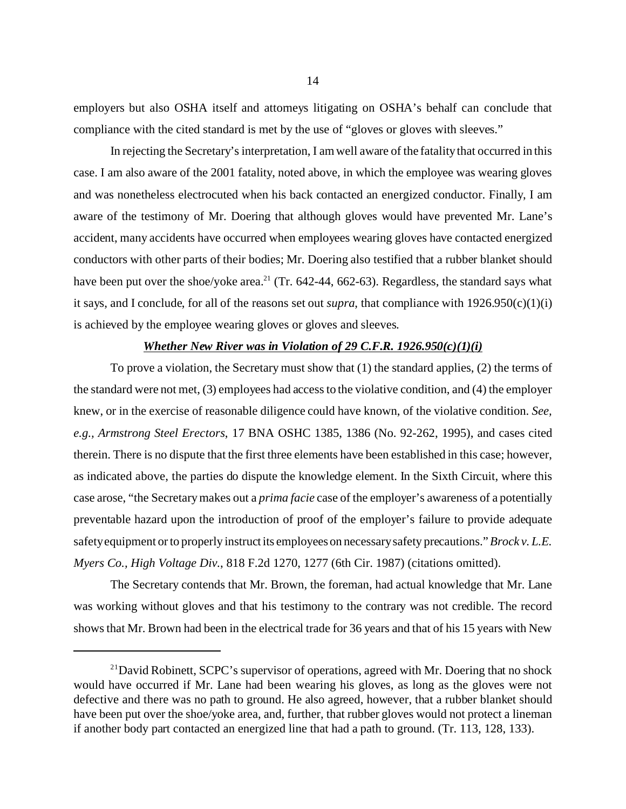employers but also OSHA itself and attorneys litigating on OSHA's behalf can conclude that compliance with the cited standard is met by the use of "gloves or gloves with sleeves."

In rejecting the Secretary's interpretation, I am well aware of the fatality that occurred in this case. I am also aware of the 2001 fatality, noted above, in which the employee was wearing gloves and was nonetheless electrocuted when his back contacted an energized conductor. Finally, I am aware of the testimony of Mr. Doering that although gloves would have prevented Mr. Lane's accident, many accidents have occurred when employees wearing gloves have contacted energized conductors with other parts of their bodies; Mr. Doering also testified that a rubber blanket should have been put over the shoe/yoke area.<sup>21</sup> (Tr. 642-44, 662-63). Regardless, the standard says what it says, and I conclude, for all of the reasons set out *supra*, that compliance with 1926.950(c)(1)(i) is achieved by the employee wearing gloves or gloves and sleeves.

#### *Whether New River was in Violation of 29 C.F.R. 1926.950(c)(1)(i)*

To prove a violation, the Secretary must show that (1) the standard applies, (2) the terms of the standard were not met, (3) employees had access to the violative condition, and (4) the employer knew, or in the exercise of reasonable diligence could have known, of the violative condition. *See, e.g., Armstrong Steel Erectors*, 17 BNA OSHC 1385, 1386 (No. 92-262, 1995), and cases cited therein. There is no dispute that the first three elements have been established in this case; however, as indicated above, the parties do dispute the knowledge element. In the Sixth Circuit, where this case arose, "the Secretary makes out a *prima facie* case of the employer's awareness of a potentially preventable hazard upon the introduction of proof of the employer's failure to provide adequate safetyequipment or to properly instruct its employees on necessary safety precautions." *Brock v. L.E. Myers Co., High Voltage Div.*, 818 F.2d 1270, 1277 (6th Cir. 1987) (citations omitted).

The Secretary contends that Mr. Brown, the foreman, had actual knowledge that Mr. Lane was working without gloves and that his testimony to the contrary was not credible. The record shows that Mr. Brown had been in the electrical trade for 36 years and that of his 15 years with New

 $^{21}$ David Robinett, SCPC's supervisor of operations, agreed with Mr. Doering that no shock would have occurred if Mr. Lane had been wearing his gloves, as long as the gloves were not defective and there was no path to ground. He also agreed, however, that a rubber blanket should have been put over the shoe/yoke area, and, further, that rubber gloves would not protect a lineman if another body part contacted an energized line that had a path to ground. (Tr. 113, 128, 133).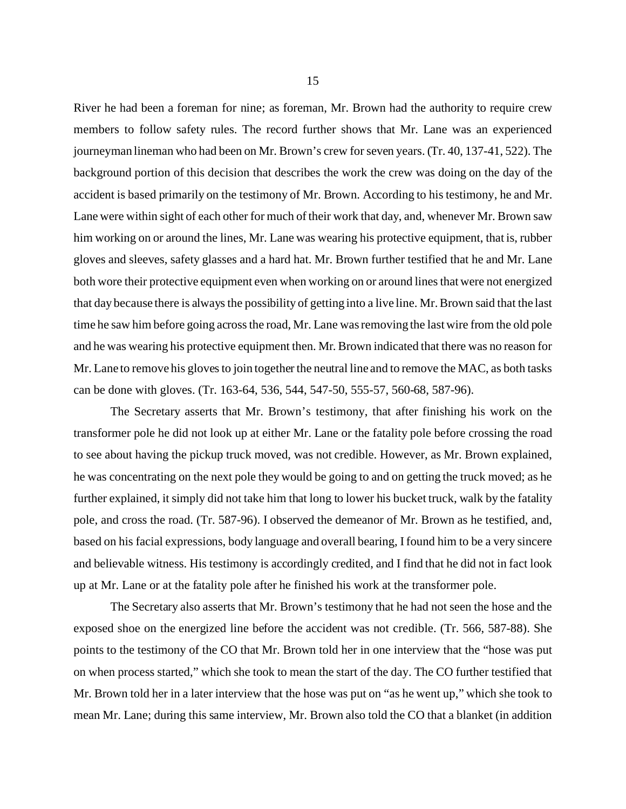River he had been a foreman for nine; as foreman, Mr. Brown had the authority to require crew members to follow safety rules. The record further shows that Mr. Lane was an experienced journeyman lineman who had been on Mr. Brown's crew for seven years. (Tr. 40, 137-41, 522). The background portion of this decision that describes the work the crew was doing on the day of the accident is based primarily on the testimony of Mr. Brown. According to his testimony, he and Mr. Lane were within sight of each other for much of their work that day, and, whenever Mr. Brown saw him working on or around the lines, Mr. Lane was wearing his protective equipment, that is, rubber gloves and sleeves, safety glasses and a hard hat. Mr. Brown further testified that he and Mr. Lane both wore their protective equipment even when working on or around lines that were not energized that day because there is always the possibility of getting into a live line. Mr. Brown said that the last time he saw him before going across the road, Mr. Lane was removing the last wire from the old pole and he was wearing his protective equipment then. Mr. Brown indicated that there was no reason for Mr. Lane to remove his gloves to join together the neutral line and to remove the MAC, as both tasks can be done with gloves. (Tr. 163-64, 536, 544, 547-50, 555-57, 560-68, 587-96).

The Secretary asserts that Mr. Brown's testimony, that after finishing his work on the transformer pole he did not look up at either Mr. Lane or the fatality pole before crossing the road to see about having the pickup truck moved, was not credible. However, as Mr. Brown explained, he was concentrating on the next pole they would be going to and on getting the truck moved; as he further explained, it simply did not take him that long to lower his bucket truck, walk by the fatality pole, and cross the road. (Tr. 587-96). I observed the demeanor of Mr. Brown as he testified, and, based on his facial expressions, body language and overall bearing, I found him to be a very sincere and believable witness. His testimony is accordingly credited, and I find that he did not in fact look up at Mr. Lane or at the fatality pole after he finished his work at the transformer pole.

The Secretary also asserts that Mr. Brown's testimony that he had not seen the hose and the exposed shoe on the energized line before the accident was not credible. (Tr. 566, 587-88). She points to the testimony of the CO that Mr. Brown told her in one interview that the "hose was put on when process started," which she took to mean the start of the day. The CO further testified that Mr. Brown told her in a later interview that the hose was put on "as he went up," which she took to mean Mr. Lane; during this same interview, Mr. Brown also told the CO that a blanket (in addition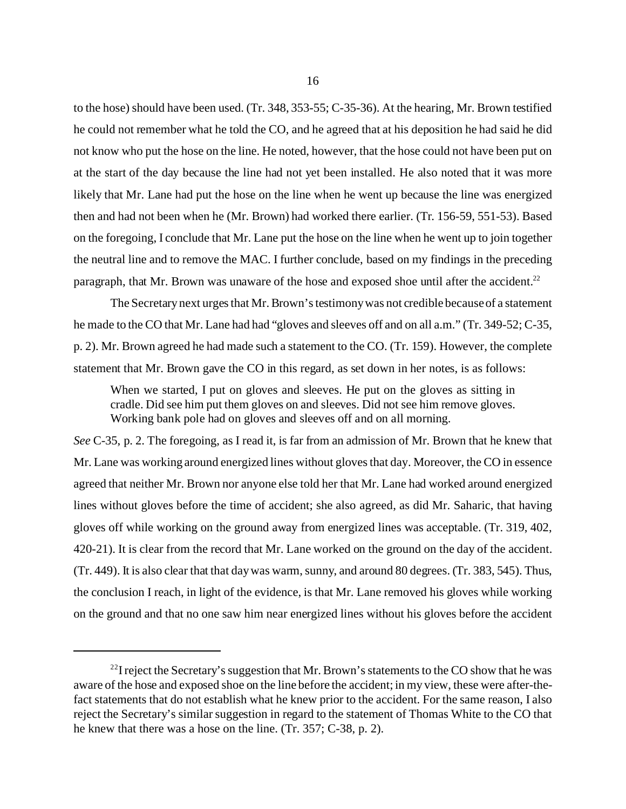to the hose) should have been used. (Tr. 348, 353-55; C-35-36). At the hearing, Mr. Brown testified he could not remember what he told the CO, and he agreed that at his deposition he had said he did not know who put the hose on the line. He noted, however, that the hose could not have been put on at the start of the day because the line had not yet been installed. He also noted that it was more likely that Mr. Lane had put the hose on the line when he went up because the line was energized then and had not been when he (Mr. Brown) had worked there earlier. (Tr. 156-59, 551-53). Based on the foregoing, I conclude that Mr. Lane put the hose on the line when he went up to join together the neutral line and to remove the MAC. I further conclude, based on my findings in the preceding paragraph, that Mr. Brown was unaware of the hose and exposed shoe until after the accident.<sup>22</sup>

The Secretary next urges that Mr. Brown's testimony was not credible because of a statement he made to the CO that Mr. Lane had had "gloves and sleeves off and on all a.m." (Tr. 349-52; C-35, p. 2). Mr. Brown agreed he had made such a statement to the CO. (Tr. 159). However, the complete statement that Mr. Brown gave the CO in this regard, as set down in her notes, is as follows:

When we started, I put on gloves and sleeves. He put on the gloves as sitting in cradle. Did see him put them gloves on and sleeves. Did not see him remove gloves. Working bank pole had on gloves and sleeves off and on all morning.

*See* C-35, p. 2. The foregoing, as I read it, is far from an admission of Mr. Brown that he knew that Mr. Lane was working around energized lines without gloves that day. Moreover, the CO in essence agreed that neither Mr. Brown nor anyone else told her that Mr. Lane had worked around energized lines without gloves before the time of accident; she also agreed, as did Mr. Saharic, that having gloves off while working on the ground away from energized lines was acceptable. (Tr. 319, 402, 420-21). It is clear from the record that Mr. Lane worked on the ground on the day of the accident. (Tr. 449). It is also clear that that day was warm, sunny, and around 80 degrees. (Tr. 383, 545). Thus, the conclusion I reach, in light of the evidence, is that Mr. Lane removed his gloves while working on the ground and that no one saw him near energized lines without his gloves before the accident

 $^{22}$ I reject the Secretary's suggestion that Mr. Brown's statements to the CO show that he was aware of the hose and exposed shoe on the line before the accident; in my view, these were after-thefact statements that do not establish what he knew prior to the accident. For the same reason, I also reject the Secretary's similar suggestion in regard to the statement of Thomas White to the CO that he knew that there was a hose on the line. (Tr. 357; C-38, p. 2).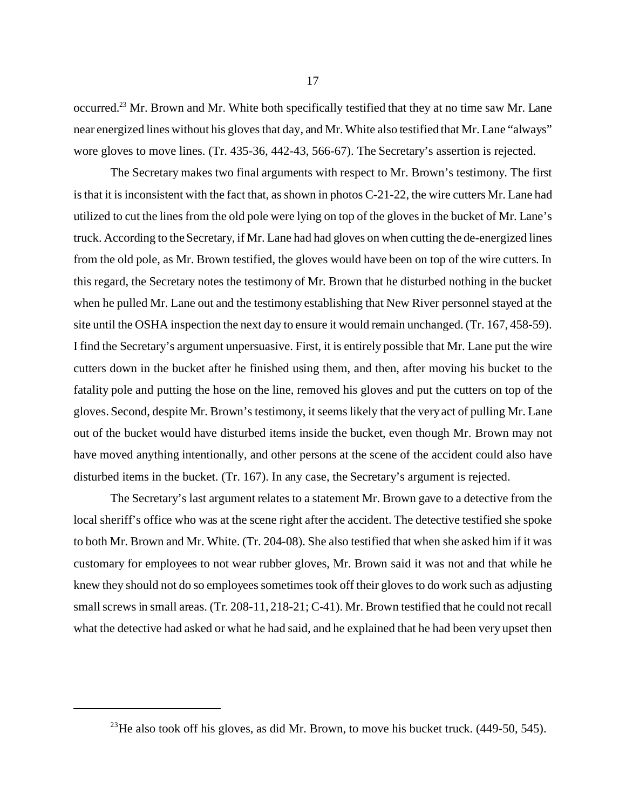occurred.23 Mr. Brown and Mr. White both specifically testified that they at no time saw Mr. Lane near energized lines without his gloves that day, and Mr. White also testified that Mr. Lane "always" wore gloves to move lines. (Tr. 435-36, 442-43, 566-67). The Secretary's assertion is rejected.

The Secretary makes two final arguments with respect to Mr. Brown's testimony. The first is that it is inconsistent with the fact that, as shown in photos C-21-22, the wire cutters Mr. Lane had utilized to cut the lines from the old pole were lying on top of the gloves in the bucket of Mr. Lane's truck. According to the Secretary, if Mr. Lane had had gloves on when cutting the de-energized lines from the old pole, as Mr. Brown testified, the gloves would have been on top of the wire cutters. In this regard, the Secretary notes the testimony of Mr. Brown that he disturbed nothing in the bucket when he pulled Mr. Lane out and the testimony establishing that New River personnel stayed at the site until the OSHA inspection the next day to ensure it would remain unchanged. (Tr. 167, 458-59). I find the Secretary's argument unpersuasive. First, it is entirely possible that Mr. Lane put the wire cutters down in the bucket after he finished using them, and then, after moving his bucket to the fatality pole and putting the hose on the line, removed his gloves and put the cutters on top of the gloves. Second, despite Mr. Brown's testimony, it seems likely that the very act of pulling Mr. Lane out of the bucket would have disturbed items inside the bucket, even though Mr. Brown may not have moved anything intentionally, and other persons at the scene of the accident could also have disturbed items in the bucket. (Tr. 167). In any case, the Secretary's argument is rejected.

The Secretary's last argument relates to a statement Mr. Brown gave to a detective from the local sheriff's office who was at the scene right after the accident. The detective testified she spoke to both Mr. Brown and Mr. White. (Tr. 204-08). She also testified that when she asked him if it was customary for employees to not wear rubber gloves, Mr. Brown said it was not and that while he knew they should not do so employees sometimes took off their gloves to do work such as adjusting small screws in small areas. (Tr. 208-11, 218-21; C-41). Mr. Brown testified that he could not recall what the detective had asked or what he had said, and he explained that he had been very upset then

 $^{23}$ He also took off his gloves, as did Mr. Brown, to move his bucket truck. (449-50, 545).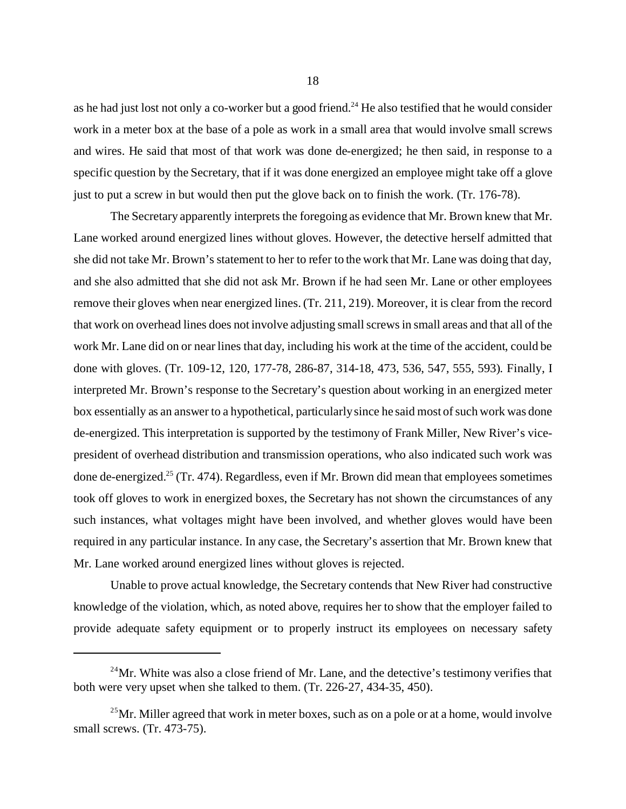as he had just lost not only a co-worker but a good friend.<sup>24</sup> He also testified that he would consider work in a meter box at the base of a pole as work in a small area that would involve small screws and wires. He said that most of that work was done de-energized; he then said, in response to a specific question by the Secretary, that if it was done energized an employee might take off a glove just to put a screw in but would then put the glove back on to finish the work. (Tr. 176-78).

The Secretary apparently interprets the foregoing as evidence that Mr. Brown knew that Mr. Lane worked around energized lines without gloves. However, the detective herself admitted that she did not take Mr. Brown's statement to her to refer to the work that Mr. Lane was doing that day, and she also admitted that she did not ask Mr. Brown if he had seen Mr. Lane or other employees remove their gloves when near energized lines. (Tr. 211, 219). Moreover, it is clear from the record that work on overhead lines does not involve adjusting small screws in small areas and that all of the work Mr. Lane did on or near lines that day, including his work at the time of the accident, could be done with gloves. (Tr. 109-12, 120, 177-78, 286-87, 314-18, 473, 536, 547, 555, 593). Finally, I interpreted Mr. Brown's response to the Secretary's question about working in an energized meter box essentially as an answer to a hypothetical, particularly since he said most of such work was done de-energized. This interpretation is supported by the testimony of Frank Miller, New River's vicepresident of overhead distribution and transmission operations, who also indicated such work was done de-energized.<sup>25</sup> (Tr. 474). Regardless, even if Mr. Brown did mean that employees sometimes took off gloves to work in energized boxes, the Secretary has not shown the circumstances of any such instances, what voltages might have been involved, and whether gloves would have been required in any particular instance. In any case, the Secretary's assertion that Mr. Brown knew that Mr. Lane worked around energized lines without gloves is rejected.

Unable to prove actual knowledge, the Secretary contends that New River had constructive knowledge of the violation, which, as noted above, requires her to show that the employer failed to provide adequate safety equipment or to properly instruct its employees on necessary safety

 $^{24}$ Mr. White was also a close friend of Mr. Lane, and the detective's testimony verifies that both were very upset when she talked to them. (Tr. 226-27, 434-35, 450).

<sup>&</sup>lt;sup>25</sup>Mr. Miller agreed that work in meter boxes, such as on a pole or at a home, would involve small screws. (Tr. 473-75).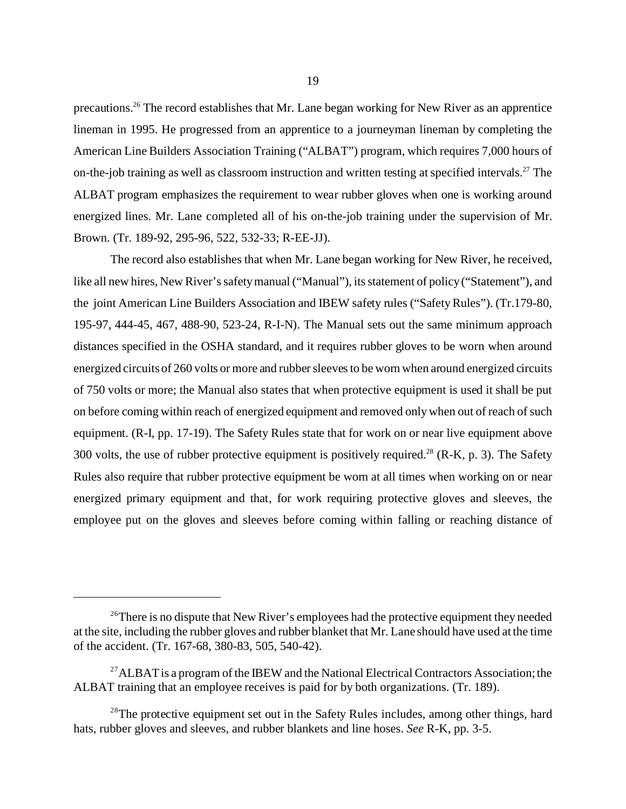precautions.26 The record establishes that Mr. Lane began working for New River as an apprentice lineman in 1995. He progressed from an apprentice to a journeyman lineman by completing the American Line Builders Association Training ("ALBAT") program, which requires 7,000 hours of on-the-job training as well as classroom instruction and written testing at specified intervals.<sup>27</sup> The ALBAT program emphasizes the requirement to wear rubber gloves when one is working around energized lines. Mr. Lane completed all of his on-the-job training under the supervision of Mr. Brown. (Tr. 189-92, 295-96, 522, 532-33; R-EE-JJ).

The record also establishes that when Mr. Lane began working for New River, he received, like all new hires, New River's safety manual ("Manual"), its statement of policy ("Statement"), and the joint American Line Builders Association and IBEW safety rules ("Safety Rules"). (Tr.179-80, 195-97, 444-45, 467, 488-90, 523-24, R-I-N). The Manual sets out the same minimum approach distances specified in the OSHA standard, and it requires rubber gloves to be worn when around energized circuits of 260 volts or more and rubber sleeves to be worn when around energized circuits of 750 volts or more; the Manual also states that when protective equipment is used it shall be put on before coming within reach of energized equipment and removed only when out of reach of such equipment. (R-I, pp. 17-19). The Safety Rules state that for work on or near live equipment above 300 volts, the use of rubber protective equipment is positively required.<sup>28</sup> (R-K, p. 3). The Safety Rules also require that rubber protective equipment be worn at all times when working on or near energized primary equipment and that, for work requiring protective gloves and sleeves, the employee put on the gloves and sleeves before coming within falling or reaching distance of

 $26$ There is no dispute that New River's employees had the protective equipment they needed at the site, including the rubber gloves and rubber blanket that Mr. Lane should have used at the time of the accident. (Tr. 167-68, 380-83, 505, 540-42).

<sup>&</sup>lt;sup>27</sup>ALBAT is a program of the IBEW and the National Electrical Contractors Association; the ALBAT training that an employee receives is paid for by both organizations. (Tr. 189).

<sup>&</sup>lt;sup>28</sup>The protective equipment set out in the Safety Rules includes, among other things, hard hats, rubber gloves and sleeves, and rubber blankets and line hoses. *See* R-K, pp. 3-5.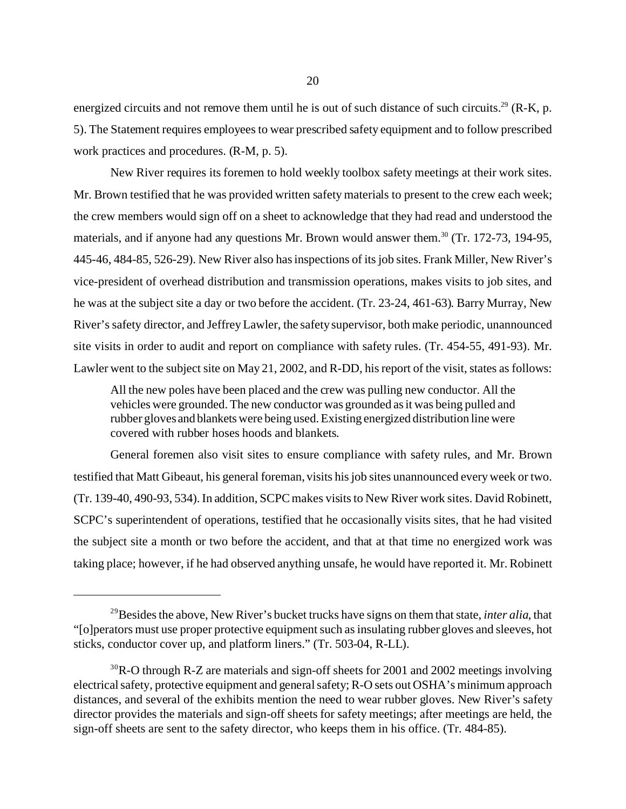energized circuits and not remove them until he is out of such distance of such circuits.<sup>29</sup> (R-K, p. 5). The Statement requires employees to wear prescribed safety equipment and to follow prescribed work practices and procedures. (R-M, p. 5).

New River requires its foremen to hold weekly toolbox safety meetings at their work sites. Mr. Brown testified that he was provided written safety materials to present to the crew each week; the crew members would sign off on a sheet to acknowledge that they had read and understood the materials, and if anyone had any questions Mr. Brown would answer them.<sup>30</sup> (Tr. 172-73, 194-95, 445-46, 484-85, 526-29). New River also has inspections of its job sites. Frank Miller, New River's vice-president of overhead distribution and transmission operations, makes visits to job sites, and he was at the subject site a day or two before the accident. (Tr. 23-24, 461-63). Barry Murray, New River's safety director, and Jeffrey Lawler, the safety supervisor, both make periodic, unannounced site visits in order to audit and report on compliance with safety rules. (Tr. 454-55, 491-93). Mr. Lawler went to the subject site on May 21, 2002, and R-DD, his report of the visit, states as follows:

All the new poles have been placed and the crew was pulling new conductor. All the vehicles were grounded. The new conductor was grounded as it was being pulled and rubber gloves and blankets were being used. Existing energized distribution line were covered with rubber hoses hoods and blankets.

General foremen also visit sites to ensure compliance with safety rules, and Mr. Brown testified that Matt Gibeaut, his general foreman, visits his job sites unannounced every week or two. (Tr. 139-40, 490-93, 534). In addition, SCPC makes visits to New River work sites. David Robinett, SCPC's superintendent of operations, testified that he occasionally visits sites, that he had visited the subject site a month or two before the accident, and that at that time no energized work was taking place; however, if he had observed anything unsafe, he would have reported it. Mr. Robinett

<sup>29</sup>Besides the above, New River's bucket trucks have signs on them that state, *inter alia*, that "[o]perators must use proper protective equipment such as insulating rubber gloves and sleeves, hot sticks, conductor cover up, and platform liners." (Tr. 503-04, R-LL).

 $30R-O$  through R-Z are materials and sign-off sheets for 2001 and 2002 meetings involving electrical safety, protective equipment and general safety; R-O sets out OSHA's minimum approach distances, and several of the exhibits mention the need to wear rubber gloves. New River's safety director provides the materials and sign-off sheets for safety meetings; after meetings are held, the sign-off sheets are sent to the safety director, who keeps them in his office. (Tr. 484-85).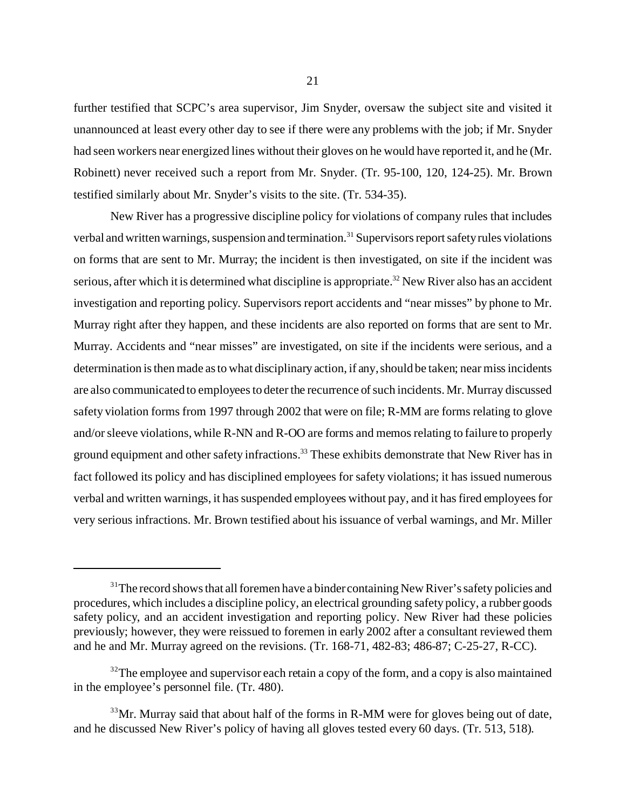further testified that SCPC's area supervisor, Jim Snyder, oversaw the subject site and visited it unannounced at least every other day to see if there were any problems with the job; if Mr. Snyder had seen workers near energized lines without their gloves on he would have reported it, and he (Mr. Robinett) never received such a report from Mr. Snyder. (Tr. 95-100, 120, 124-25). Mr. Brown testified similarly about Mr. Snyder's visits to the site. (Tr. 534-35).

New River has a progressive discipline policy for violations of company rules that includes verbal and written warnings, suspension and termination.<sup>31</sup> Supervisors report safety rules violations on forms that are sent to Mr. Murray; the incident is then investigated, on site if the incident was serious, after which it is determined what discipline is appropriate.<sup>32</sup> New River also has an accident investigation and reporting policy. Supervisors report accidents and "near misses" by phone to Mr. Murray right after they happen, and these incidents are also reported on forms that are sent to Mr. Murray. Accidents and "near misses" are investigated, on site if the incidents were serious, and a determination is then made as to what disciplinary action, if any, should be taken; near miss incidents are also communicated to employees to deter the recurrence of such incidents. Mr. Murray discussed safety violation forms from 1997 through 2002 that were on file; R-MM are forms relating to glove and/or sleeve violations, while R-NN and R-OO are forms and memos relating to failure to properly ground equipment and other safety infractions.<sup>33</sup> These exhibits demonstrate that New River has in fact followed its policy and has disciplined employees for safety violations; it has issued numerous verbal and written warnings, it has suspended employees without pay, and it has fired employees for very serious infractions. Mr. Brown testified about his issuance of verbal warnings, and Mr. Miller

 $31$ <sup>1</sup>The record shows that all foremen have a binder containing New River's safety policies and procedures, which includes a discipline policy, an electrical grounding safety policy, a rubber goods safety policy, and an accident investigation and reporting policy. New River had these policies previously; however, they were reissued to foremen in early 2002 after a consultant reviewed them and he and Mr. Murray agreed on the revisions. (Tr. 168-71, 482-83; 486-87; C-25-27, R-CC).

 $32$ The employee and supervisor each retain a copy of the form, and a copy is also maintained in the employee's personnel file. (Tr. 480).

 $33\,\text{Mr}$ . Murray said that about half of the forms in R-MM were for gloves being out of date, and he discussed New River's policy of having all gloves tested every 60 days. (Tr. 513, 518).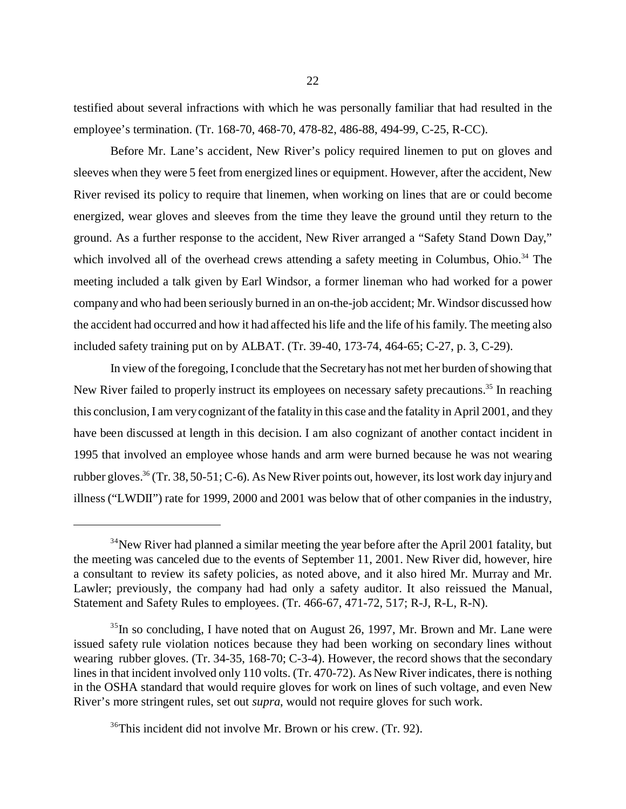testified about several infractions with which he was personally familiar that had resulted in the employee's termination. (Tr. 168-70, 468-70, 478-82, 486-88, 494-99, C-25, R-CC).

Before Mr. Lane's accident, New River's policy required linemen to put on gloves and sleeves when they were 5 feet from energized lines or equipment. However, after the accident, New River revised its policy to require that linemen, when working on lines that are or could become energized, wear gloves and sleeves from the time they leave the ground until they return to the ground. As a further response to the accident, New River arranged a "Safety Stand Down Day," which involved all of the overhead crews attending a safety meeting in Columbus, Ohio.<sup>34</sup> The meeting included a talk given by Earl Windsor, a former lineman who had worked for a power company and who had been seriously burned in an on-the-job accident; Mr. Windsor discussed how the accident had occurred and how it had affected his life and the life of his family. The meeting also included safety training put on by ALBAT. (Tr. 39-40, 173-74, 464-65; C-27, p. 3, C-29).

In view of the foregoing, I conclude that the Secretary has not met her burden of showing that New River failed to properly instruct its employees on necessary safety precautions.<sup>35</sup> In reaching this conclusion, I am very cognizant of the fatality in this case and the fatality in April 2001, and they have been discussed at length in this decision. I am also cognizant of another contact incident in 1995 that involved an employee whose hands and arm were burned because he was not wearing rubber gloves.<sup>36</sup> (Tr. 38, 50-51; C-6). As New River points out, however, its lost work day injury and illness ("LWDII") rate for 1999, 2000 and 2001 was below that of other companies in the industry,

 $34$ New River had planned a similar meeting the year before after the April 2001 fatality, but the meeting was canceled due to the events of September 11, 2001. New River did, however, hire a consultant to review its safety policies, as noted above, and it also hired Mr. Murray and Mr. Lawler; previously, the company had had only a safety auditor. It also reissued the Manual, Statement and Safety Rules to employees. (Tr. 466-67, 471-72, 517; R-J, R-L, R-N).

 $35$ In so concluding, I have noted that on August 26, 1997, Mr. Brown and Mr. Lane were issued safety rule violation notices because they had been working on secondary lines without wearing rubber gloves. (Tr. 34-35, 168-70; C-3-4). However, the record shows that the secondary lines in that incident involved only 110 volts. (Tr. 470-72). As New River indicates, there is nothing in the OSHA standard that would require gloves for work on lines of such voltage, and even New River's more stringent rules, set out *supra*, would not require gloves for such work.

<sup>36</sup>This incident did not involve Mr. Brown or his crew. (Tr. 92).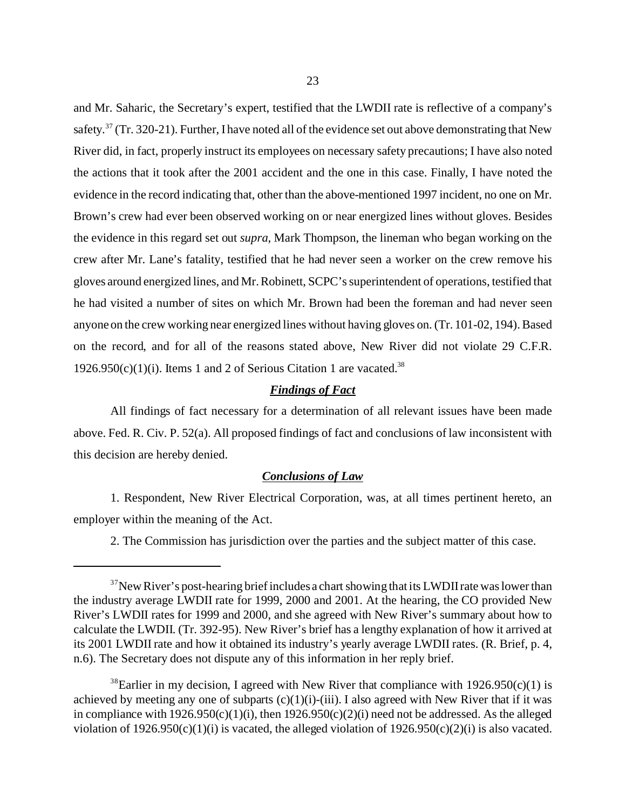and Mr. Saharic, the Secretary's expert, testified that the LWDII rate is reflective of a company's safety.<sup>37</sup> (Tr. 320-21). Further, I have noted all of the evidence set out above demonstrating that New River did, in fact, properly instruct its employees on necessary safety precautions; I have also noted the actions that it took after the 2001 accident and the one in this case. Finally, I have noted the evidence in the record indicating that, other than the above-mentioned 1997 incident, no one on Mr. Brown's crew had ever been observed working on or near energized lines without gloves. Besides the evidence in this regard set out *supra*, Mark Thompson, the lineman who began working on the crew after Mr. Lane's fatality, testified that he had never seen a worker on the crew remove his gloves around energized lines, and Mr. Robinett, SCPC's superintendent of operations, testified that he had visited a number of sites on which Mr. Brown had been the foreman and had never seen anyone on the crew working near energized lines without having gloves on. (Tr. 101-02, 194). Based on the record, and for all of the reasons stated above, New River did not violate 29 C.F.R.  $1926.950(c)(1)(i)$ . Items 1 and 2 of Serious Citation 1 are vacated.<sup>38</sup>

## *Findings of Fact*

All findings of fact necessary for a determination of all relevant issues have been made above. Fed. R. Civ. P. 52(a). All proposed findings of fact and conclusions of law inconsistent with this decision are hereby denied.

#### *Conclusions of Law*

1. Respondent, New River Electrical Corporation, was, at all times pertinent hereto, an employer within the meaning of the Act.

2. The Commission has jurisdiction over the parties and the subject matter of this case.

 $37$ New River's post-hearing brief includes a chart showing that its LWDII rate was lower than the industry average LWDII rate for 1999, 2000 and 2001. At the hearing, the CO provided New River's LWDII rates for 1999 and 2000, and she agreed with New River's summary about how to calculate the LWDII. (Tr. 392-95). New River's brief has a lengthy explanation of how it arrived at its 2001 LWDII rate and how it obtained its industry's yearly average LWDII rates. (R. Brief, p. 4, n.6). The Secretary does not dispute any of this information in her reply brief.

<sup>&</sup>lt;sup>38</sup>Earlier in my decision, I agreed with New River that compliance with  $1926.950(c)(1)$  is achieved by meeting any one of subparts  $(c)(1)(i)-(iii)$ . I also agreed with New River that if it was in compliance with  $1926.950(c)(1)(i)$ , then  $1926.950(c)(2)(i)$  need not be addressed. As the alleged violation of  $1926.950(c)(1)(i)$  is vacated, the alleged violation of  $1926.950(c)(2)(i)$  is also vacated.